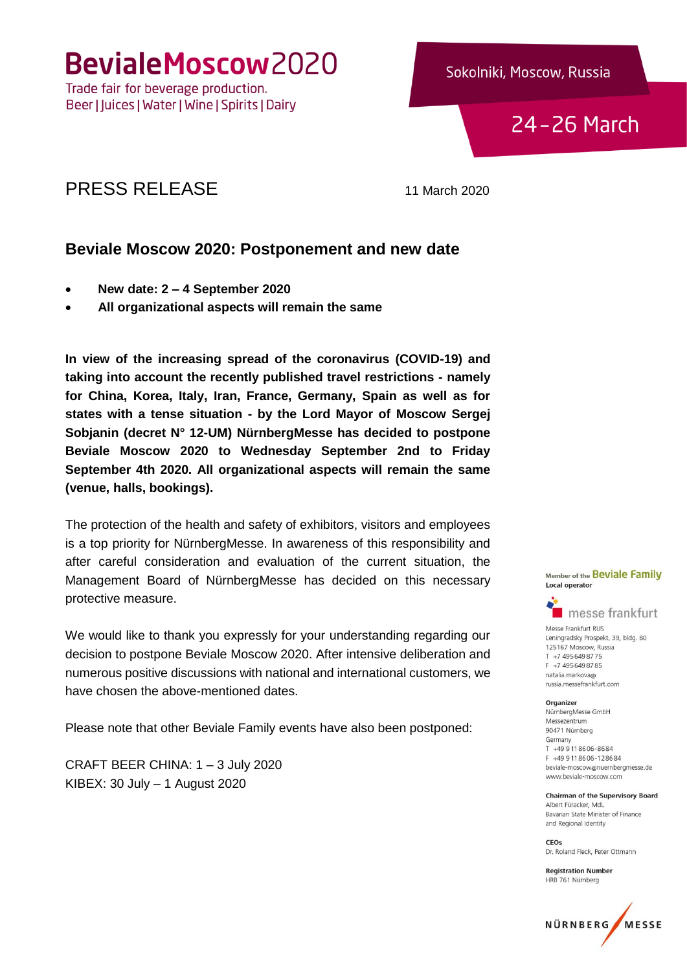BevialeMoscow2020

Trade fair for beverage production. Beer | Juices | Water | Wine | Spirits | Dairy Sokolniki, Moscow, Russia

24-26 March

## PRESS RELEASE 11 March 2020

## **Beviale Moscow 2020: Postponement and new date**

- **New date: 2 – 4 September 2020**
- **All organizational aspects will remain the same**

**In view of the increasing spread of the coronavirus (COVID-19) and taking into account the recently published travel restrictions - namely for China, Korea, Italy, Iran, France, Germany, Spain as well as for states with a tense situation - by the Lord Mayor of Moscow Sergej Sobjanin (decret N° 12-UM) NürnbergMesse has decided to postpone Beviale Moscow 2020 to Wednesday September 2nd to Friday September 4th 2020. All organizational aspects will remain the same (venue, halls, bookings).**

The protection of the health and safety of exhibitors, visitors and employees is a top priority for NürnbergMesse. In awareness of this responsibility and after careful consideration and evaluation of the current situation, the Management Board of NürnbergMesse has decided on this necessary protective measure.

We would like to thank you expressly for your understanding regarding our decision to postpone Beviale Moscow 2020. After intensive deliberation and numerous positive discussions with national and international customers, we have chosen the above-mentioned dates.

Please note that other Beviale Family events have also been postponed:

CRAFT BEER CHINA: 1 – 3 July 2020 KIBEX: 30 July – 1 August 2020

Member of the Beviale Family **Local operator** 



Messe Frankfurt RUS Leningradsky Prospekt, 39, bldg. 80 125167 Moscow, Russia T +7 495 649 8775 F +7 495 649 87 85 natalia markova@ russia.messefrankfurt.com

#### Organizer

NürnbergMesse GmbH Messezentrum 90471 Nürnberg Germany T +49 9 11 86 06-86 84 F +49 9 11 86 06 - 12 86 84 beviale-moscow@nuernbergmesse.de www.beviale-moscow.com

**Chairman of the Supervisory Board** Albert Füracker, MdL Bayarian State Minister of Finance and Regional Identity

CEOs Dr. Roland Fleck, Peter Ottmann

**Registration Number** HRB 761 Nürnberg

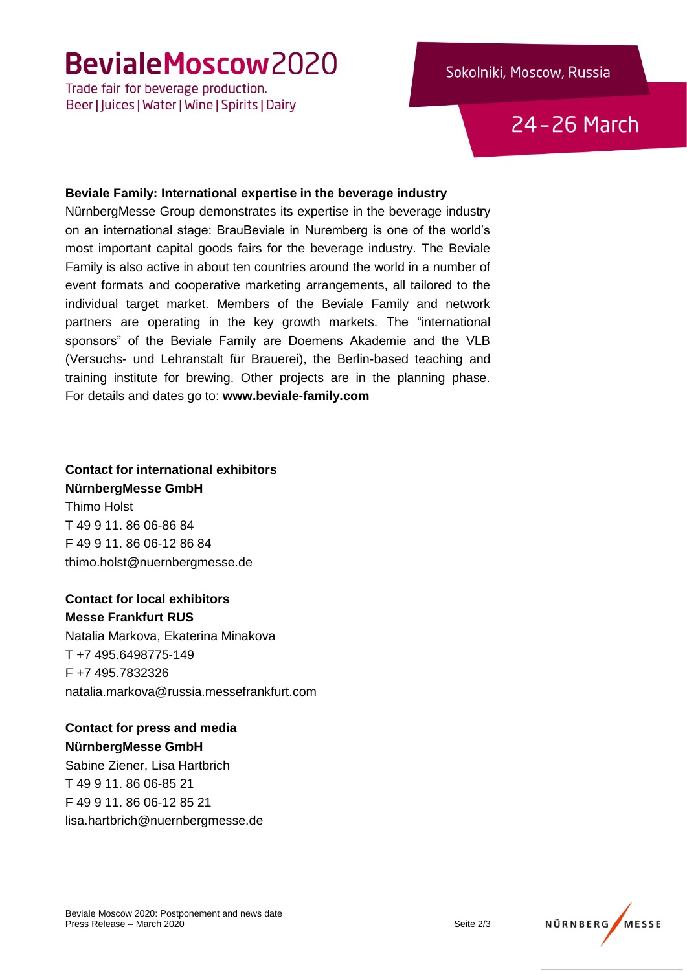# BevialeMoscow2020

Trade fair for beverage production. Beer | Juices | Water | Wine | Spirits | Dairy

## Sokolniki, Moscow, Russia

24-26 March

#### **Beviale Family: International expertise in the beverage industry**

NürnbergMesse Group demonstrates its expertise in the beverage industry on an international stage: BrauBeviale in Nuremberg is one of the world's most important capital goods fairs for the beverage industry. The Beviale Family is also active in about ten countries around the world in a number of event formats and cooperative marketing arrangements, all tailored to the individual target market. Members of the Beviale Family and network partners are operating in the key growth markets. The "international sponsors" of the Beviale Family are Doemens Akademie and the VLB (Versuchs- und Lehranstalt für Brauerei), the Berlin-based teaching and training institute for brewing. Other projects are in the planning phase. For details and dates go to: **www.beviale-family.com**

### **Contact for international exhibitors NürnbergMesse GmbH**

Thimo Holst T 49 9 11. 86 06-86 84 F 49 9 11. 86 06-12 86 84 thimo.holst@nuernbergmesse.de

**Contact for local exhibitors Messe Frankfurt RUS**

Natalia Markova, Ekaterina Minakova T +7 495.6498775-149 F +7 495.7832326 natalia.markova@russia.messefrankfurt.com

## **Contact for press and media**

**NürnbergMesse GmbH** Sabine Ziener, Lisa Hartbrich T 49 9 11. 86 06-85 21 F 49 9 11. 86 06-12 85 21 lisa.hartbrich@nuernbergmesse.de